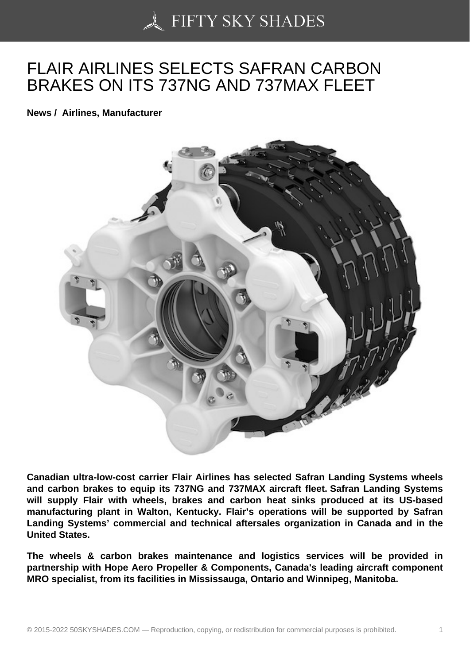## [FLAIR AIRLINES SELE](https://50skyshades.com)CTS SAFRAN CARBON BRAKES ON ITS 737NG AND 737MAX FLEET

News / Airlines, Manufacturer

Canadian ultra-low-cost carrier Flair Airlines has selected Safran Landing Systems wheels and carbon brakes to equip its 737NG and 737MAX aircraft fleet. Safran Landing Systems will supply Flair with wheels, brakes and carbon heat sinks produced at its US-based manufacturing plant in Walton, Kentucky. Flair's operations will be supported by Safran Landing Systems' commercial and technical aftersales organization in Canada and in the United States.

The wheels & carbon brakes maintenance and logistics services will be provided in partnership with Hope Aero Propeller & Components, Canada's leading aircraft component MRO specialist, from its facilities in Mississauga, Ontario and Winnipeg, Manitoba.